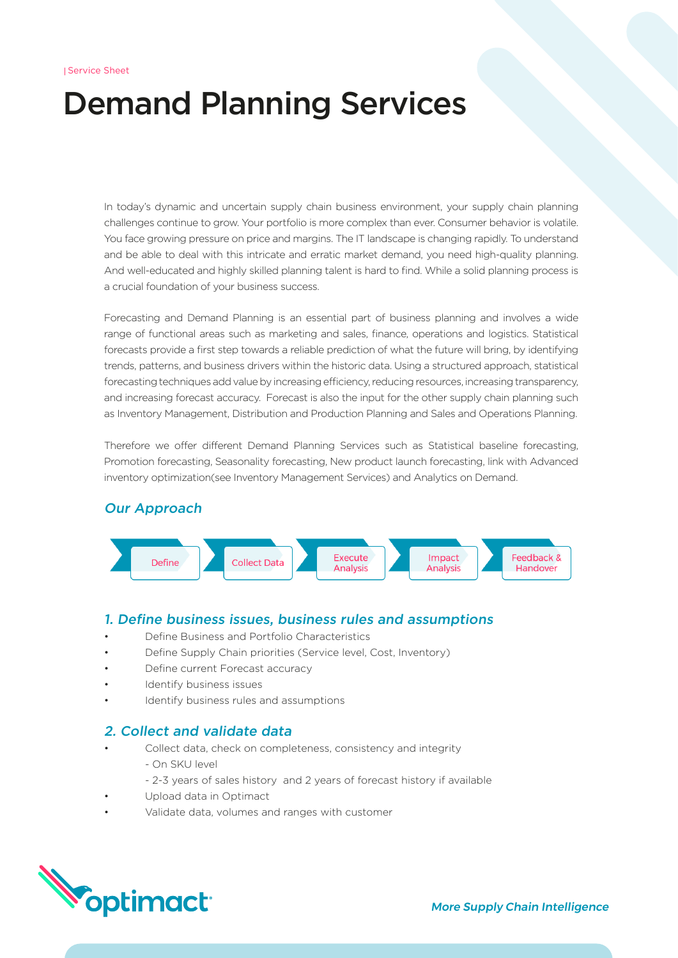# Demand Planning Services

In today's dynamic and uncertain supply chain business environment, your supply chain planning challenges continue to grow. Your portfolio is more complex than ever. Consumer behavior is volatile. You face growing pressure on price and margins. The IT landscape is changing rapidly. To understand and be able to deal with this intricate and erratic market demand, you need high-quality planning. And well-educated and highly skilled planning talent is hard to find. While a solid planning process is a crucial foundation of your business success.

Forecasting and Demand Planning is an essential part of business planning and involves a wide range of functional areas such as marketing and sales, finance, operations and logistics. Statistical forecasts provide a first step towards a reliable prediction of what the future will bring, by identifying trends, patterns, and business drivers within the historic data. Using a structured approach, statistical forecasting techniques add value by increasing efficiency, reducing resources, increasing transparency, and increasing forecast accuracy. Forecast is also the input for the other supply chain planning such as Inventory Management, Distribution and Production Planning and Sales and Operations Planning.

Therefore we offer different Demand Planning Services such as Statistical baseline forecasting, Promotion forecasting, Seasonality forecasting, New product launch forecasting, link with Advanced inventory optimization(see Inventory Management Services) and Analytics on Demand.

# Our Approach



#### 1. Define business issues, business rules and assumptions

- Define Business and Portfolio Characteristics
- Define Supply Chain priorities (Service level, Cost, Inventory)
- Define current Forecast accuracy
- Identify business issues
- Identify business rules and assumptions

# 2. Collect and validate data

- Collect data, check on completeness, consistency and integrity
	- On SKU level
	- 2-3 years of sales history and 2 years of forecast history if available
- Upload data in Optimact
- Validate data, volumes and ranges with customer

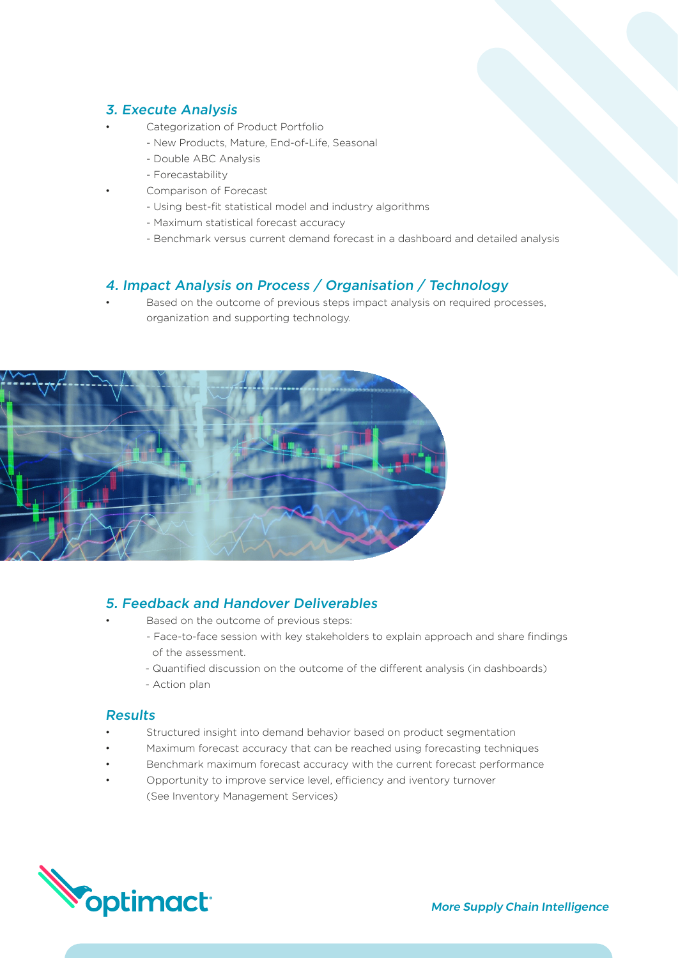# 3. Execute Analysis

- Categorization of Product Portfolio
	- New Products, Mature, End-of-Life, Seasonal
	- Double ABC Analysis
	- Forecastability
	- Comparison of Forecast
	- Using best-fit statistical model and industry algorithms
	- Maximum statistical forecast accuracy
	- Benchmark versus current demand forecast in a dashboard and detailed analysis

#### 4. Impact Analysis on Process / Organisation / Technology

Based on the outcome of previous steps impact analysis on required processes, organization and supporting technology.



#### 5. Feedback and Handover Deliverables

- Based on the outcome of previous steps:
- Face-to-face session with key stakeholders to explain approach and share findings of the assessment.
- Quantified discussion on the outcome of the different analysis (in dashboards)
- Action plan

#### **Results**

- Structured insight into demand behavior based on product segmentation
- Maximum forecast accuracy that can be reached using forecasting techniques
- Benchmark maximum forecast accuracy with the current forecast performance
- Opportunity to improve service level, efficiency and iventory turnover (See Inventory Management Services)